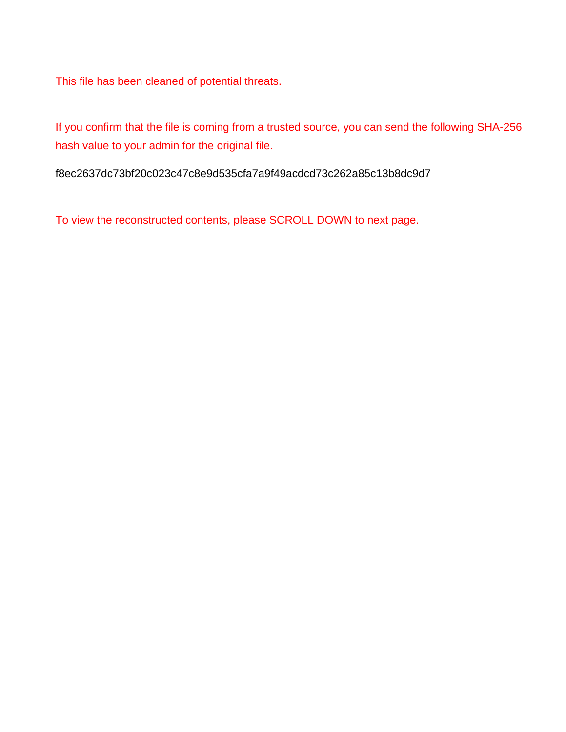This file has been cleaned of potential threats.

If you confirm that the file is coming from a trusted source, you can send the following SHA-256 hash value to your admin for the original file.

f8ec2637dc73bf20c023c47c8e9d535cfa7a9f49acdcd73c262a85c13b8dc9d7

To view the reconstructed contents, please SCROLL DOWN to next page.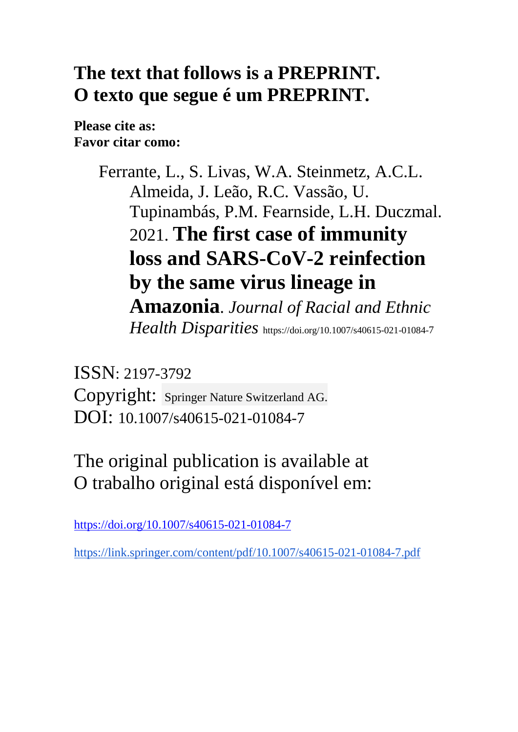# **The text that follows is a PREPRINT. O texto que segue é um PREPRINT.**

**Please cite as: Favor citar como:** 

> Ferrante, L., S. Livas, W.A. Steinmetz, A.C.L. Almeida, J. Leão, R.C. Vassão, U. Tupinambás, P.M. Fearnside, L.H. Duczmal. 2021. **The first case of immunity loss and SARS-CoV-2 reinfection by the same virus lineage in Amazonia**. *Journal of Racial and Ethnic Health Disparities* https://doi.org/10.1007/s40615-021-01084-7

ISSN: 2197-3792 Copyright: Springer Nature Switzerland AG. DOI: 10.1007/s40615-021-01084-7

The original publication is available at O trabalho original está disponível em:

https://doi.org/10.1007/s40615-021-01084-7

https://link.springer.com/content/pdf/10.1007/s40615-021-01084-7.pdf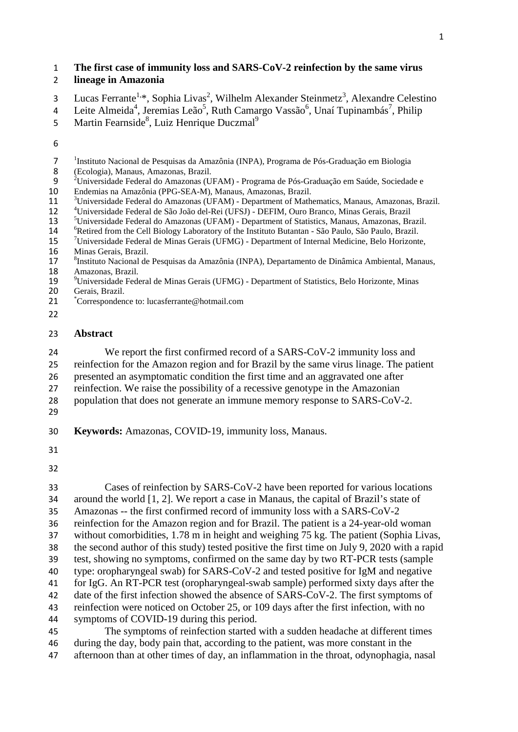# **The first case of immunity loss and SARS-CoV-2 reinfection by the same virus**

# **lineage in Amazonia**

- 3 Lucas Ferrante<sup>1,\*</sup>, Sophia Livas<sup>2</sup>, Wilhelm Alexander Steinmetz<sup>3</sup>, Alexandre Celestino
- 4 Leite Almeida<sup>4</sup>, Jeremias Leão<sup>5</sup>, Ruth Camargo Vassão<sup>6</sup>, Unaí Tupinambás<sup>7</sup>, Philip
- 5 Martin Fearnside<sup>8</sup>, Luiz Henrique Duczmal<sup>9</sup>
- 
- <sup>1</sup>Instituto Nacional de Pesquisas da Amazônia (INPA), Programa de Pós-Graduação em Biologia<br>8 (Ecologia), Manaus, Amazonas, Brazil.
- 
- <sup>2</sup> Universidade Federal do Amazonas (UFAM) Programa de Pós-Graduação em Saúde, Sociedade e<br>10 Endemias na Amazônia (PPG-SEA-M), Manaus, Amazonas, Brazil.
- 
- 
- 
- 
- 
- <sup>3</sup>Universidade Federal do Amazonas (UFAM) Department of Mathematics, Manaus, Amazonas, Brazil.<br>
<sup>4</sup>Universidade Federal de São João del-Rei (UFSJ) DEFIM, Ouro Branco, Minas Gerais, Brazil<br>
<sup>5</sup>Universidade Federal do A
- 16 Minas Gerais, Brazil.<br>17 <sup>8</sup>Instituto Nacional de
- <sup>8</sup> Instituto Nacional de Pesquisas da Amazônia (INPA), Departamento de Dinâmica Ambiental, Manaus, 18 Amazonas, Brazil.<br>19 <sup>9</sup>Universidade Fede
- <sup>9</sup> Universidade Federal de Minas Gerais (UFMG) Department of Statistics, Belo Horizonte, Minas<br>20 Gerais. Brazil. Gerais, Brazil.
- 21 Correspondence to: lucasferrante@hotmail.com
- 

### **Abstract**

 We report the first confirmed record of a SARS-CoV-2 immunity loss and reinfection for the Amazon region and for Brazil by the same virus linage. The patient presented an asymptomatic condition the first time and an aggravated one after

- reinfection. We raise the possibility of a recessive genotype in the Amazonian
- population that does not generate an immune memory response to SARS-CoV-2.
- 

**Keywords:** Amazonas, COVID-19, immunity loss, Manaus.

 Cases of reinfection by SARS-CoV-2 have been reported for various locations around the world [1, 2]. We report a case in Manaus, the capital of Brazil's state of Amazonas -- the first confirmed record of immunity loss with a SARS-CoV-2 reinfection for the Amazon region and for Brazil. The patient is a 24-year-old woman without comorbidities, 1.78 m in height and weighing 75 kg. The patient (Sophia Livas, the second author of this study) tested positive the first time on July 9, 2020 with a rapid test, showing no symptoms, confirmed on the same day by two RT-PCR tests (sample type: oropharyngeal swab) for SARS-CoV-2 and tested positive for IgM and negative for IgG. An RT-PCR test (oropharyngeal-swab sample) performed sixty days after the date of the first infection showed the absence of SARS-CoV-2. The first symptoms of reinfection were noticed on October 25, or 109 days after the first infection, with no symptoms of COVID-19 during this period.

 The symptoms of reinfection started with a sudden headache at different times during the day, body pain that, according to the patient, was more constant in the afternoon than at other times of day, an inflammation in the throat, odynophagia, nasal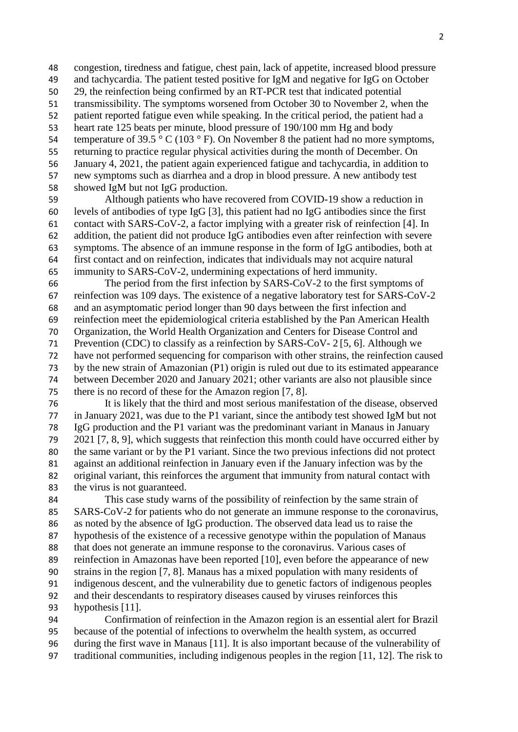congestion, tiredness and fatigue, chest pain, lack of appetite, increased blood pressure and tachycardia. The patient tested positive for IgM and negative for IgG on October 29, the reinfection being confirmed by an RT-PCR test that indicated potential transmissibility. The symptoms worsened from October 30 to November 2, when the patient reported fatigue even while speaking. In the critical period, the patient had a heart rate 125 beats per minute, blood pressure of 190/100 mm Hg and body 54 temperature of 39.5  $\degree$  C (103  $\degree$  F). On November 8 the patient had no more symptoms, returning to practice regular physical activities during the month of December. On January 4, 2021, the patient again experienced fatigue and tachycardia, in addition to new symptoms such as diarrhea and a drop in blood pressure. A new antibody test showed IgM but not IgG production.

 Although patients who have recovered from COVID-19 show a reduction in levels of antibodies of type IgG [3], this patient had no IgG antibodies since the first contact with SARS-CoV-2, a factor implying with a greater risk of reinfection [4]. In addition, the patient did not produce IgG antibodies even after reinfection with severe symptoms. The absence of an immune response in the form of IgG antibodies, both at first contact and on reinfection, indicates that individuals may not acquire natural immunity to SARS-CoV-2, undermining expectations of herd immunity.

 The period from the first infection by SARS-CoV-2 to the first symptoms of reinfection was 109 days. The existence of a negative laboratory test for SARS-CoV-2 and an asymptomatic period longer than 90 days between the first infection and reinfection meet the epidemiological criteria established by the Pan American Health Organization, the World Health Organization and Centers for Disease Control and Prevention (CDC) to classify as a reinfection by SARS-CoV- 2 [5, 6]. Although we have not performed sequencing for comparison with other strains, the reinfection caused by the new strain of Amazonian (P1) origin is ruled out due to its estimated appearance between December 2020 and January 2021; other variants are also not plausible since there is no record of these for the Amazon region [7, 8].

 It is likely that the third and most serious manifestation of the disease, observed in January 2021, was due to the P1 variant, since the antibody test showed IgM but not IgG production and the P1 variant was the predominant variant in Manaus in January 2021 [7, 8, 9], which suggests that reinfection this month could have occurred either by the same variant or by the P1 variant. Since the two previous infections did not protect against an additional reinfection in January even if the January infection was by the original variant, this reinforces the argument that immunity from natural contact with the virus is not guaranteed.

 This case study warns of the possibility of reinfection by the same strain of SARS-CoV-2 for patients who do not generate an immune response to the coronavirus, as noted by the absence of IgG production. The observed data lead us to raise the hypothesis of the existence of a recessive genotype within the population of Manaus that does not generate an immune response to the coronavirus. Various cases of reinfection in Amazonas have been reported [10], even before the appearance of new strains in the region [7, 8]. Manaus has a mixed population with many residents of indigenous descent, and the vulnerability due to genetic factors of indigenous peoples and their descendants to respiratory diseases caused by viruses reinforces this hypothesis [11].

 Confirmation of reinfection in the Amazon region is an essential alert for Brazil because of the potential of infections to overwhelm the health system, as occurred during the first wave in Manaus [11]. It is also important because of the vulnerability of traditional communities, including indigenous peoples in the region [11, 12]. The risk to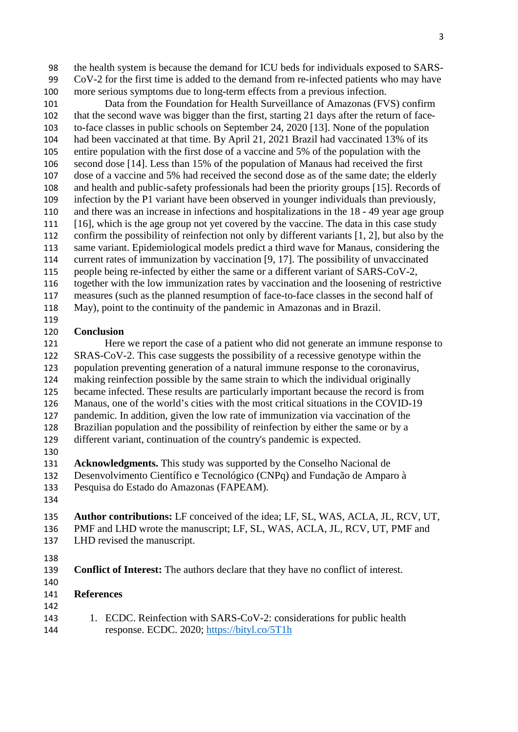the health system is because the demand for ICU beds for individuals exposed to SARS- CoV-2 for the first time is added to the demand from re-infected patients who may have more serious symptoms due to long-term effects from a previous infection.

 Data from the Foundation for Health Surveillance of Amazonas (FVS) confirm that the second wave was bigger than the first, starting 21 days after the return of face- to-face classes in public schools on September 24, 2020 [13]. None of the population had been vaccinated at that time. By April 21, 2021 Brazil had vaccinated 13% of its entire population with the first dose of a vaccine and 5% of the population with the second dose [14]. Less than 15% of the population of Manaus had received the first dose of a vaccine and 5% had received the second dose as of the same date; the elderly and health and public-safety professionals had been the priority groups [15]. Records of infection by the P1 variant have been observed in younger individuals than previously, and there was an increase in infections and hospitalizations in the 18 - 49 year age group [16], which is the age group not yet covered by the vaccine. The data in this case study confirm the possibility of reinfection not only by different variants [1, 2], but also by the same variant. Epidemiological models predict a third wave for Manaus, considering the current rates of immunization by vaccination [9, 17]. The possibility of unvaccinated people being re-infected by either the same or a different variant of SARS-CoV-2, together with the low immunization rates by vaccination and the loosening of restrictive measures (such as the planned resumption of face-to-face classes in the second half of May), point to the continuity of the pandemic in Amazonas and in Brazil.

#### **Conclusion**

 Here we report the case of a patient who did not generate an immune response to SRAS-CoV-2. This case suggests the possibility of a recessive genotype within the population preventing generation of a natural immune response to the coronavirus, making reinfection possible by the same strain to which the individual originally became infected. These results are particularly important because the record is from Manaus, one of the world's cities with the most critical situations in the COVID-19 pandemic. In addition, given the low rate of immunization via vaccination of the Brazilian population and the possibility of reinfection by either the same or by a different variant, continuation of the country's pandemic is expected.

 **Acknowledgments.** This study was supported by the Conselho Nacional de Desenvolvimento Científico e Tecnológico (CNPq) and Fundação de Amparo à

- Pesquisa do Estado do Amazonas (FAPEAM).
- 

#### **Author contributions:** LF conceived of the idea; LF, SL, WAS, ACLA, JL, RCV, UT, PMF and LHD wrote the manuscript; LF, SL, WAS, ACLA, JL, RCV, UT, PMF and LHD revised the manuscript.

- 
- **Conflict of Interest:** The authors declare that they have no conflict of interest.
- 
- **References**
- 143 1. ECDC. Reinfection with SARS-CoV-2: considerations for public health response. ECDC. 2020; https://bityl.co/5T1h